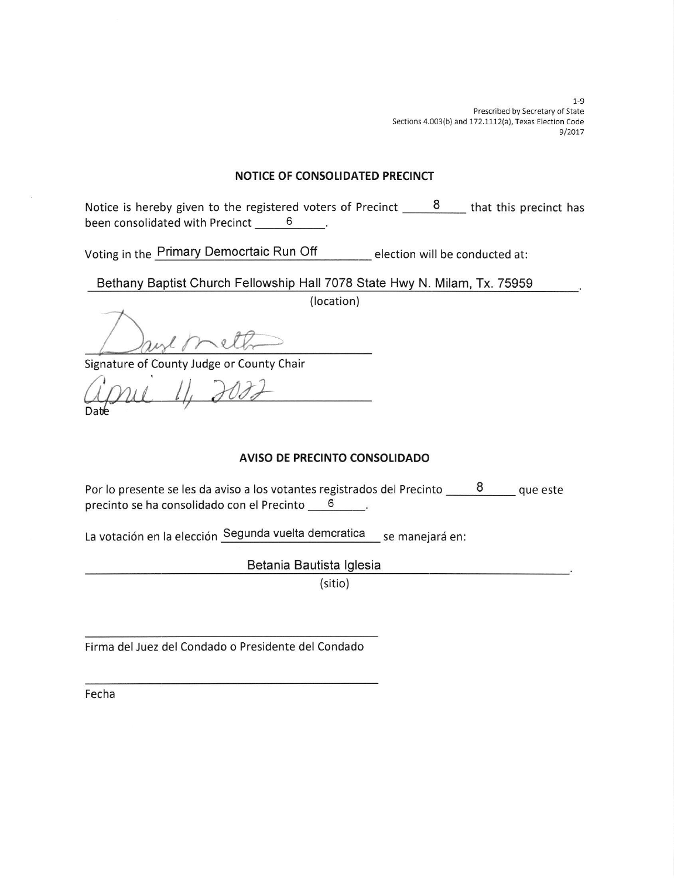$1 - 9$ Prescribed by Secretary of State Sections 4.003(b) and 172.1112(a), Texas Election Code 9/2017

### NOTICE OF CONSOLIDATED PRECINCT

Notice is hereby given to the registered voters of Precinct  $\frac{8}{1000}$  that this precinct has been consolidated with Precinct 6

Voting in the Primary Democrtaic Run Off election will be conducted at:

Bethany Baptist Church Fellowship Hall 7078 State Hwy N. Milam, Tx. 75959

(location)

meth Days !

Signature of County Judge or County Chair

I

Da

## AVISO DE PRECINTO CONSOLIDADO

Por lo presente se les da aviso a los votantes registrados del Precinto  $\frac{8}{ }$  que este precinto se ha consolidado con el Precinto 6  $\sim$ 

La votación en la elección Segunda vuelta demcratica se manejará en:

Betania Bautista lglesia

(sitio)

Firma del Juez del Condado o Presidente del Condado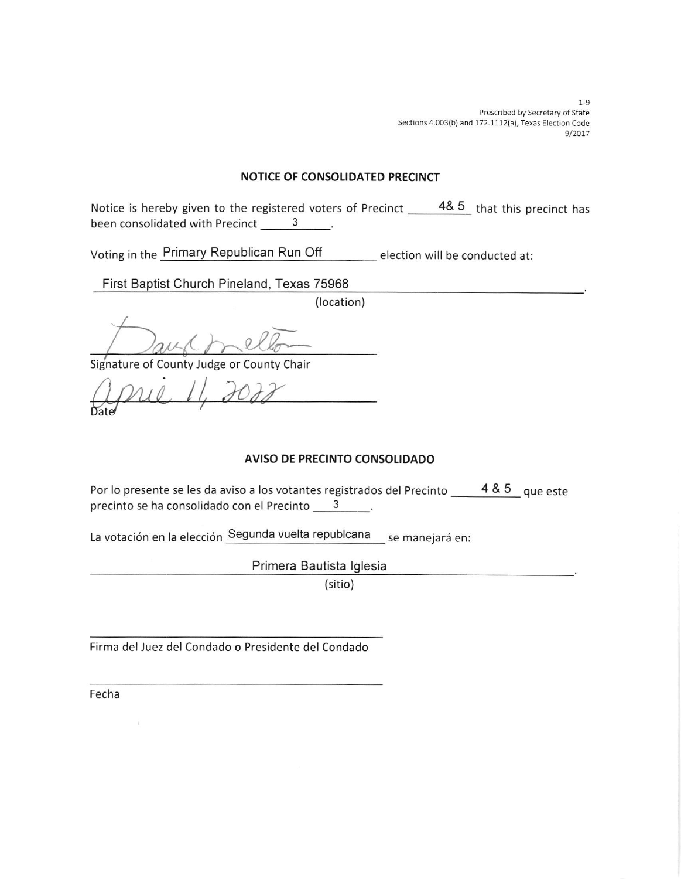$1 - 9$ Prescribed by Secretary of State Sections 4.003(b) and 172.1112(a), Texas Election Code 9/2017

### NOTICE OF CONSOLIDATED PRECINCT

Notice is hereby given to the registered voters of Precinct  $\frac{48.5}{ }$  that this precinct has been consolidated with Precinct 3

Voting in the <u>Primary Republican Run Off \_\_\_\_\_\_\_\_\_</u> election will be conducted at:

# First Baptist Church Pineland, Texas 75968

(location)

 $\bigwedge$ 

Signature of County Judge or County Chair

april  $11, 307$  $\mathsf{Date}$ 

## AVISO DE PRECINTO CONSOLIDADO

Por lo presente se les da aviso a los votantes registrados del Precinto  $\_\_\_\_4\$  4 & 5  $\_\,$  que este precinto se ha consolidado con el Precinto 3.

La votación en la elección Segunda vuelta republcana se manejará en:

Primera Bautista lglesia

(sitio)

Firma del Juez del Condado o Presidente del Condado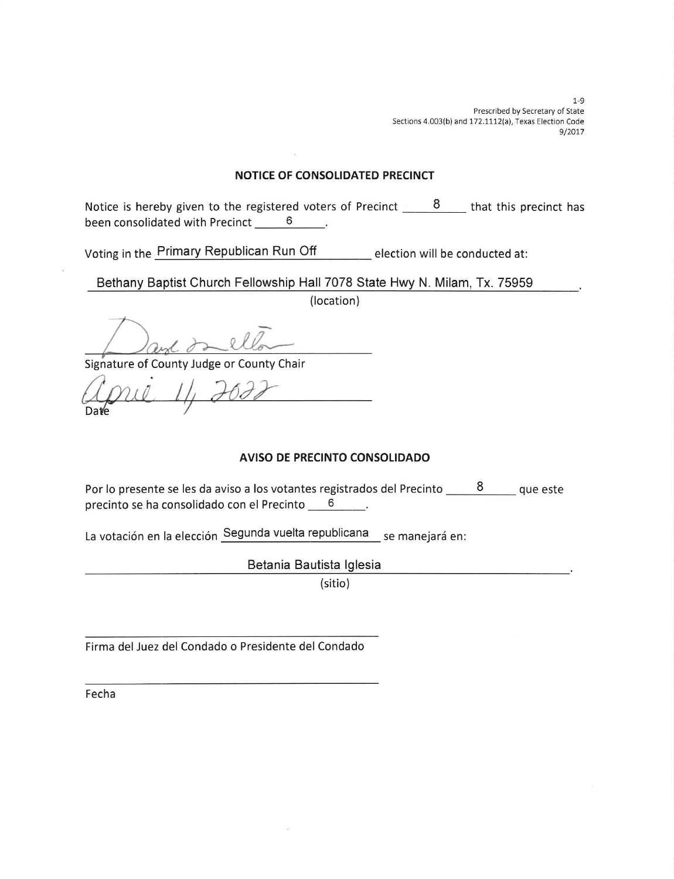1-9 Prescribed by Secretary of State Sections 4.003(b) and 172.1112(a), Texas Election Code 9/2017

#### NOTICE OF CONSOLIDATED PRECINCT

Notice is hereby given to the registered voters of Precinct  $\_\_\_8$   $\_\_\_$  that this precinct has been consolidated with Precinct 6

Voting in the Primary Republican Run Off \_\_\_\_\_\_\_\_ election will be conducted at

Bethany Baptist Church Fellowship Hall 7078 State Hwy N. Milam, Tx. 75959

(location)

 $2l$ 

Signature of County Judge or County

Da

## AVISO DE PRECINTO CONSOLIDADO

Por lo presente se les da aviso a los votantes registrados del Precinto  $\frac{8}{ }$  que este precinto se ha consolidado con el Precinto 6  $\sim$   $\sim$ 

La votación en la elección Segunda vuelta republicana se manejará en:

Betania Bautista lglesia

(sitio)

Flrma del Juez del Condado o Presidente del Condado